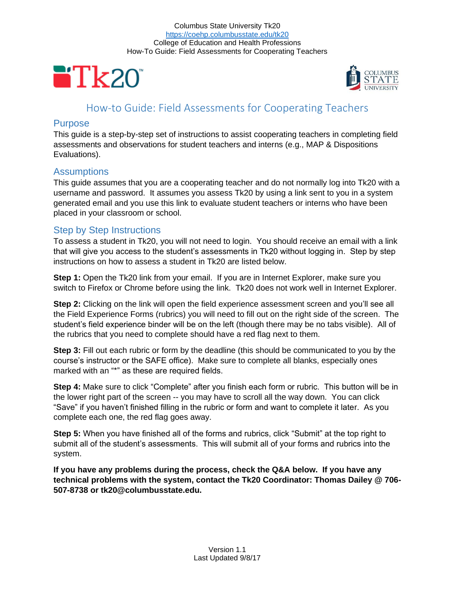



# How-to Guide: Field Assessments for Cooperating Teachers

### **Purpose**

This guide is a step-by-step set of instructions to assist cooperating teachers in completing field assessments and observations for student teachers and interns (e.g., MAP & Dispositions Evaluations).

### **Assumptions**

This guide assumes that you are a cooperating teacher and do not normally log into Tk20 with a username and password. It assumes you assess Tk20 by using a link sent to you in a system generated email and you use this link to evaluate student teachers or interns who have been placed in your classroom or school.

## Step by Step Instructions

To assess a student in Tk20, you will not need to login. You should receive an email with a link that will give you access to the student's assessments in Tk20 without logging in. Step by step instructions on how to assess a student in Tk20 are listed below.

**Step 1:** Open the Tk20 link from your email. If you are in Internet Explorer, make sure you switch to Firefox or Chrome before using the link. Tk20 does not work well in Internet Explorer.

**Step 2:** Clicking on the link will open the field experience assessment screen and you'll see all the Field Experience Forms (rubrics) you will need to fill out on the right side of the screen. The student's field experience binder will be on the left (though there may be no tabs visible). All of the rubrics that you need to complete should have a red flag next to them.

**Step 3:** Fill out each rubric or form by the deadline (this should be communicated to you by the course's instructor or the SAFE office). Make sure to complete all blanks, especially ones marked with an "\*" as these are required fields.

**Step 4:** Make sure to click "Complete" after you finish each form or rubric. This button will be in the lower right part of the screen -- you may have to scroll all the way down. You can click "Save" if you haven't finished filling in the rubric or form and want to complete it later. As you complete each one, the red flag goes away.

**Step 5:** When you have finished all of the forms and rubrics, click "Submit" at the top right to submit all of the student's assessments. This will submit all of your forms and rubrics into the system.

**If you have any problems during the process, check the Q&A below. If you have any technical problems with the system, contact the Tk20 Coordinator: Thomas Dailey @ 706- 507-8738 or tk20@columbusstate.edu.**